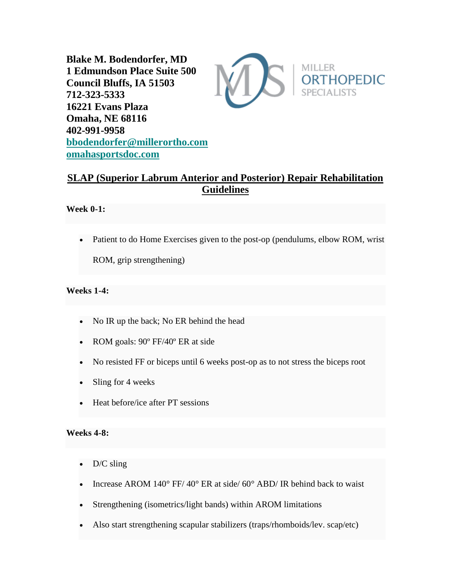**Blake M. Bodendorfer, MD 1 Edmundson Place Suite 500 Council Bluffs, IA 51503 712-323-5333 16221 Evans Plaza Omaha, NE 68116 402-991-9958 [bbodendorfer@millerortho.com](mailto:bbodendorfer@millerortho.com) [omahasportsdoc.com](http://www.omahasportsdoc.com/)**



# **SLAP (Superior Labrum Anterior and Posterior) Repair Rehabilitation Guidelines**

## **Week 0-1:**

• Patient to do Home Exercises given to the post-op (pendulums, elbow ROM, wrist ROM, grip strengthening)

# **Weeks 1-4:**

- No IR up the back; No ER behind the head
- ROM goals: 90° FF/40° ER at side
- No resisted FF or biceps until 6 weeks post-op as to not stress the biceps root
- Sling for 4 weeks
- Heat before/ice after PT sessions

#### **Weeks 4-8:**

- D/C sling
- Increase AROM  $140^{\circ}$  FF/ $40^{\circ}$  ER at side/ $60^{\circ}$  ABD/ IR behind back to waist
- Strengthening (isometrics/light bands) within AROM limitations
- Also start strengthening scapular stabilizers (traps/rhomboids/lev. scap/etc)